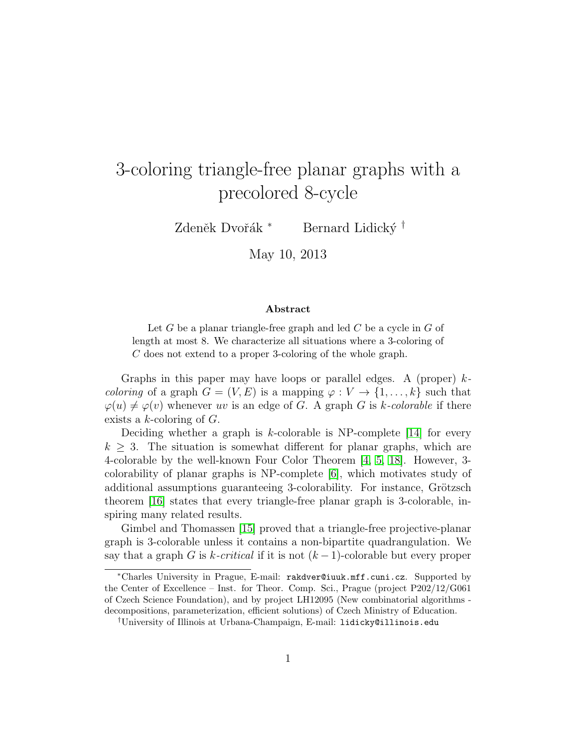# 3-coloring triangle-free planar graphs with a precolored 8-cycle

Zdeněk Dvořák <sup>∗</sup> Bernard Lidický <sup>†</sup>

May 10, 2013

#### Abstract

Let  $G$  be a planar triangle-free graph and led  $C$  be a cycle in  $G$  of length at most 8. We characterize all situations where a 3-coloring of C does not extend to a proper 3-coloring of the whole graph.

Graphs in this paper may have loops or parallel edges. A (proper)  $k$ *coloring* of a graph  $G = (V, E)$  is a mapping  $\varphi : V \to \{1, \ldots, k\}$  such that  $\varphi(u) \neq \varphi(v)$  whenever uv is an edge of G. A graph G is k-colorable if there exists a  $k$ -coloring of  $G$ .

Deciding whether a graph is k-colorable is NP-complete  $[14]$  for every  $k > 3$ . The situation is somewhat different for planar graphs, which are 4-colorable by the well-known Four Color Theorem [\[4,](#page-17-0) [5,](#page-17-1) [18\]](#page-19-0). However, 3 colorability of planar graphs is NP-complete [\[6\]](#page-18-1), which motivates study of additional assumptions guaranteeing 3-colorability. For instance, Grötzsch theorem [\[16\]](#page-18-2) states that every triangle-free planar graph is 3-colorable, inspiring many related results.

Gimbel and Thomassen [\[15\]](#page-18-3) proved that a triangle-free projective-planar graph is 3-colorable unless it contains a non-bipartite quadrangulation. We say that a graph G is k-critical if it is not  $(k-1)$ -colorable but every proper

<sup>∗</sup>Charles University in Prague, E-mail: rakdver@iuuk.mff.cuni.cz. Supported by the Center of Excellence – Inst. for Theor. Comp. Sci., Prague (project P202/12/G061 of Czech Science Foundation), and by project LH12095 (New combinatorial algorithms decompositions, parameterization, efficient solutions) of Czech Ministry of Education.

<sup>†</sup>University of Illinois at Urbana-Champaign, E-mail: lidicky@illinois.edu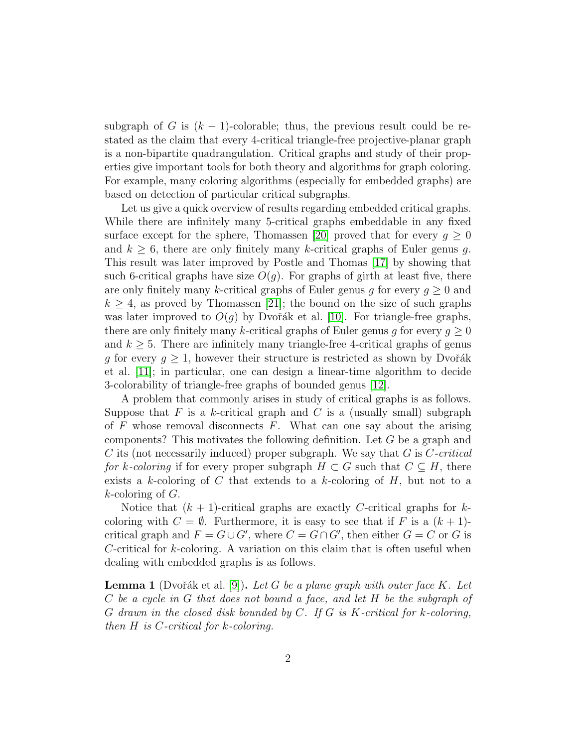subgraph of G is  $(k - 1)$ -colorable; thus, the previous result could be restated as the claim that every 4-critical triangle-free projective-planar graph is a non-bipartite quadrangulation. Critical graphs and study of their properties give important tools for both theory and algorithms for graph coloring. For example, many coloring algorithms (especially for embedded graphs) are based on detection of particular critical subgraphs.

Let us give a quick overview of results regarding embedded critical graphs. While there are infinitely many 5-critical graphs embeddable in any fixed surface except for the sphere, Thomassen [\[20\]](#page-19-1) proved that for every  $g \geq 0$ and  $k \geq 6$ , there are only finitely many k-critical graphs of Euler genus g. This result was later improved by Postle and Thomas [\[17\]](#page-18-4) by showing that such 6-critical graphs have size  $O(g)$ . For graphs of girth at least five, there are only finitely many k-critical graphs of Euler genus g for every  $g \geq 0$  and  $k \geq 4$ , as proved by Thomassen [\[21\]](#page-19-2); the bound on the size of such graphs was later improved to  $O(q)$  by Dvořák et al. [\[10\]](#page-18-5). For triangle-free graphs, there are only finitely many k-critical graphs of Euler genus g for every  $g \geq 0$ and  $k \geq 5$ . There are infinitely many triangle-free 4-critical graphs of genus g for every  $g \geq 1$ , however their structure is restricted as shown by Dvořák et al. [\[11\]](#page-18-6); in particular, one can design a linear-time algorithm to decide 3-colorability of triangle-free graphs of bounded genus [\[12\]](#page-18-7).

A problem that commonly arises in study of critical graphs is as follows. Suppose that F is a k-critical graph and C is a (usually small) subgraph of  $F$  whose removal disconnects  $F$ . What can one say about the arising components? This motivates the following definition. Let G be a graph and C its (not necessarily induced) proper subgraph. We say that  $G$  is  $C\text{-}critical$ for k-coloring if for every proper subgraph  $H \subset G$  such that  $C \subseteq H$ , there exists a k-coloring of C that extends to a k-coloring of  $H$ , but not to a  $k$ -coloring of  $G$ .

Notice that  $(k + 1)$ -critical graphs are exactly C-critical graphs for kcoloring with  $C = \emptyset$ . Furthermore, it is easy to see that if F is a  $(k+1)$ critical graph and  $F = G \cup G'$ , where  $C = G \cap G'$ , then either  $G = C$  or G is C-critical for  $k$ -coloring. A variation on this claim that is often useful when dealing with embedded graphs is as follows.

<span id="page-1-0"></span>**Lemma 1** (Dvořák et al. [\[9\]](#page-18-8)). Let G be a plane graph with outer face K. Let C be a cycle in G that does not bound a face, and let H be the subgraph of  $G$  drawn in the closed disk bounded by  $C$ . If  $G$  is  $K$ -critical for  $k$ -coloring, then H is C-critical for k-coloring.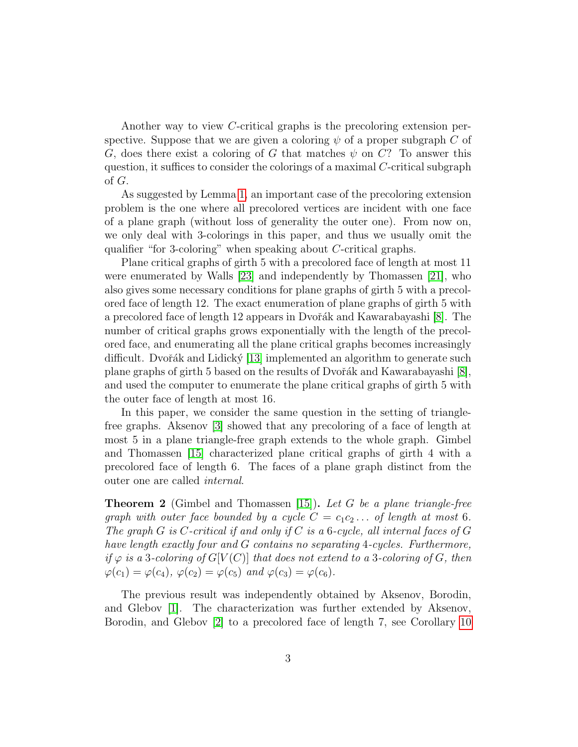Another way to view C-critical graphs is the precoloring extension perspective. Suppose that we are given a coloring  $\psi$  of a proper subgraph C of G, does there exist a coloring of G that matches  $\psi$  on C? To answer this question, it suffices to consider the colorings of a maximal C-critical subgraph of G.

As suggested by Lemma [1,](#page-1-0) an important case of the precoloring extension problem is the one where all precolored vertices are incident with one face of a plane graph (without loss of generality the outer one). From now on, we only deal with 3-colorings in this paper, and thus we usually omit the qualifier "for 3-coloring" when speaking about C-critical graphs.

Plane critical graphs of girth 5 with a precolored face of length at most 11 were enumerated by Walls [\[23\]](#page-19-3) and independently by Thomassen [\[21\]](#page-19-2), who also gives some necessary conditions for plane graphs of girth 5 with a precolored face of length 12. The exact enumeration of plane graphs of girth 5 with a precolored face of length 12 appears in Dvořák and Kawarabayashi [\[8\]](#page-18-9). The number of critical graphs grows exponentially with the length of the precolored face, and enumerating all the plane critical graphs becomes increasingly difficult. Dvořák and Lidický [\[13\]](#page-18-10) implemented an algorithm to generate such plane graphs of girth 5 based on the results of Dvořák and Kawarabayashi [\[8\]](#page-18-9), and used the computer to enumerate the plane critical graphs of girth 5 with the outer face of length at most 16.

In this paper, we consider the same question in the setting of trianglefree graphs. Aksenov [\[3\]](#page-17-2) showed that any precoloring of a face of length at most 5 in a plane triangle-free graph extends to the whole graph. Gimbel and Thomassen [\[15\]](#page-18-3) characterized plane critical graphs of girth 4 with a precolored face of length 6. The faces of a plane graph distinct from the outer one are called internal.

<span id="page-2-0"></span>**Theorem 2** (Gimbel and Thomassen [\[15\]](#page-18-3)). Let G be a plane triangle-free graph with outer face bounded by a cycle  $C = c_1c_2 \ldots$  of length at most 6. The graph G is C-critical if and only if C is a 6-cycle, all internal faces of G have length exactly four and G contains no separating 4-cycles. Furthermore, if  $\varphi$  is a 3-coloring of  $G[V(C)]$  that does not extend to a 3-coloring of G, then  $\varphi(c_1) = \varphi(c_4), \varphi(c_2) = \varphi(c_5)$  and  $\varphi(c_3) = \varphi(c_6)$ .

The previous result was independently obtained by Aksenov, Borodin, and Glebov [\[1\]](#page-17-3). The characterization was further extended by Aksenov, Borodin, and Glebov [\[2\]](#page-17-4) to a precolored face of length 7, see Corollary [10](#page-13-0)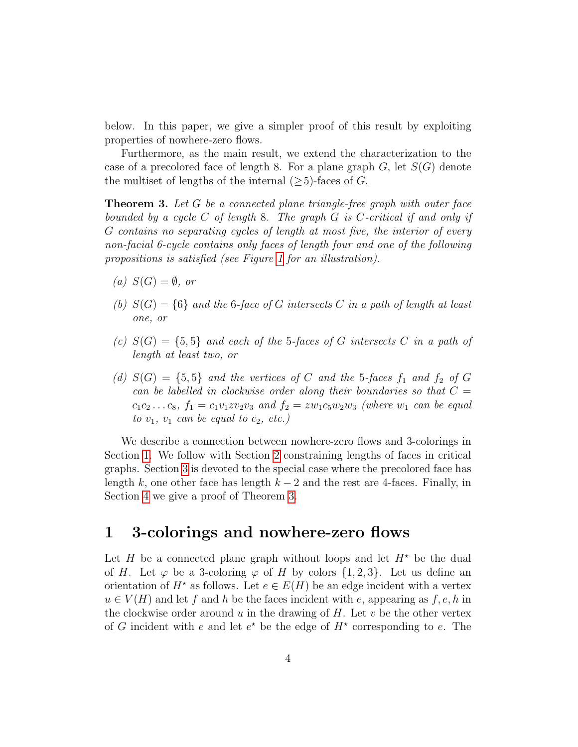below. In this paper, we give a simpler proof of this result by exploiting properties of nowhere-zero flows.

Furthermore, as the main result, we extend the characterization to the case of a precolored face of length 8. For a plane graph  $G$ , let  $S(G)$  denote the multiset of lengths of the internal  $(\geq 5)$ -faces of G.

<span id="page-3-1"></span>**Theorem 3.** Let  $G$  be a connected plane triangle-free graph with outer face bounded by a cycle  $C$  of length 8. The graph  $G$  is  $C$ -critical if and only if G contains no separating cycles of length at most five, the interior of every non-facial 6-cycle contains only faces of length four and one of the following propositions is satisfied (see Figure [1](#page-4-0) for an illustration).

- (a)  $S(G) = \emptyset$ , or
- (b)  $S(G) = \{6\}$  and the 6-face of G intersects C in a path of length at least one, or
- (c)  $S(G) = \{5, 5\}$  and each of the 5-faces of G intersects C in a path of length at least two, or
- (d)  $S(G) = \{5, 5\}$  and the vertices of C and the 5-faces  $f_1$  and  $f_2$  of G can be labelled in clockwise order along their boundaries so that  $C =$  $c_1c_2...c_8$ ,  $f_1 = c_1v_1zv_2v_3$  and  $f_2 = zw_1c_5w_2w_3$  (where  $w_1$  can be equal to  $v_1$ ,  $v_1$  can be equal to  $c_2$ , etc.)

We describe a connection between nowhere-zero flows and 3-colorings in Section [1.](#page-3-0) We follow with Section [2](#page-9-0) constraining lengths of faces in critical graphs. Section [3](#page-10-0) is devoted to the special case where the precolored face has length k, one other face has length  $k - 2$  and the rest are 4-faces. Finally, in Section [4](#page-14-0) we give a proof of Theorem [3.](#page-3-1)

### <span id="page-3-0"></span>1 3-colorings and nowhere-zero flows

Let H be a connected plane graph without loops and let  $H^*$  be the dual of H. Let  $\varphi$  be a 3-coloring  $\varphi$  of H by colors  $\{1, 2, 3\}$ . Let us define an orientation of  $H^*$  as follows. Let  $e \in E(H)$  be an edge incident with a vertex  $u \in V(H)$  and let f and h be the faces incident with e, appearing as f, e, h in the clockwise order around u in the drawing of H. Let v be the other vertex of G incident with e and let  $e^*$  be the edge of  $H^*$  corresponding to e. The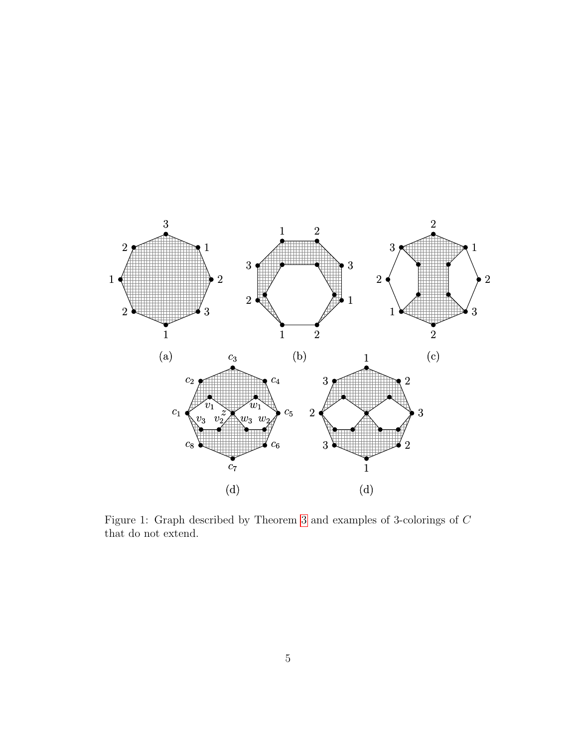

<span id="page-4-0"></span>Figure 1: Graph described by Theorem [3](#page-3-1) and examples of 3-colorings of C that do not extend.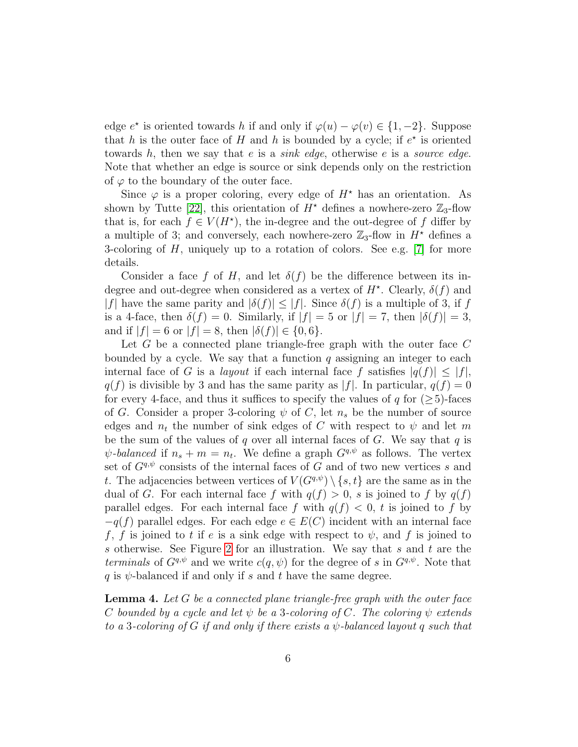edge  $e^*$  is oriented towards h if and only if  $\varphi(u) - \varphi(v) \in \{1, -2\}$ . Suppose that h is the outer face of H and h is bounded by a cycle; if  $e^*$  is oriented towards h, then we say that e is a *sink edge*, otherwise e is a *source edge*. Note that whether an edge is source or sink depends only on the restriction of  $\varphi$  to the boundary of the outer face.

Since  $\varphi$  is a proper coloring, every edge of  $H^*$  has an orientation. As shown by Tutte [\[22\]](#page-19-4), this orientation of  $H^*$  defines a nowhere-zero  $\mathbb{Z}_3$ -flow that is, for each  $f \in V(H^*)$ , the in-degree and the out-degree of f differ by a multiple of 3; and conversely, each nowhere-zero  $\mathbb{Z}_3$ -flow in  $H^*$  defines a 3-coloring of  $H$ , uniquely up to a rotation of colors. See e.g. [\[7\]](#page-18-11) for more details.

Consider a face f of H, and let  $\delta(f)$  be the difference between its indegree and out-degree when considered as a vertex of  $H^*$ . Clearly,  $\delta(f)$  and |f| have the same parity and  $|\delta(f)| \leq |f|$ . Since  $\delta(f)$  is a multiple of 3, if f is a 4-face, then  $\delta(f) = 0$ . Similarly, if  $|f| = 5$  or  $|f| = 7$ , then  $|\delta(f)| = 3$ , and if  $|f| = 6$  or  $|f| = 8$ , then  $|\delta(f)| \in \{0, 6\}$ .

Let  $G$  be a connected plane triangle-free graph with the outer face  $C$ bounded by a cycle. We say that a function  $q$  assigning an integer to each internal face of G is a *layout* if each internal face f satisfies  $|q(f)| \leq |f|$ ,  $q(f)$  is divisible by 3 and has the same parity as |f|. In particular,  $q(f) = 0$ for every 4-face, and thus it suffices to specify the values of q for  $(\geq 5)$ -faces of G. Consider a proper 3-coloring  $\psi$  of C, let  $n_s$  be the number of source edges and  $n_t$  the number of sink edges of C with respect to  $\psi$  and let m be the sum of the values of q over all internal faces of G. We say that  $q$  is  $\psi$ -balanced if  $n_s + m = n_t$ . We define a graph  $G^{q,\psi}$  as follows. The vertex set of  $G^{q,\psi}$  consists of the internal faces of G and of two new vertices s and t. The adjacencies between vertices of  $V(G^{q,\psi}) \setminus \{s,t\}$  are the same as in the dual of G. For each internal face f with  $q(f) > 0$ , s is joined to f by  $q(f)$ parallel edges. For each internal face f with  $q(f) < 0$ , t is joined to f by  $-q(f)$  parallel edges. For each edge  $e \in E(C)$  incident with an internal face f, f is joined to t if e is a sink edge with respect to  $\psi$ , and f is joined to s otherwise. See Figure [2](#page-6-0) for an illustration. We say that s and t are the terminals of  $G^{q,\psi}$  and we write  $c(q,\psi)$  for the degree of s in  $G^{q,\psi}$ . Note that q is  $\psi$ -balanced if and only if s and t have the same degree.

<span id="page-5-0"></span>**Lemma 4.** Let  $G$  be a connected plane triangle-free graph with the outer face C bounded by a cycle and let  $\psi$  be a 3-coloring of C. The coloring  $\psi$  extends to a 3-coloring of G if and only if there exists a  $\psi$ -balanced layout q such that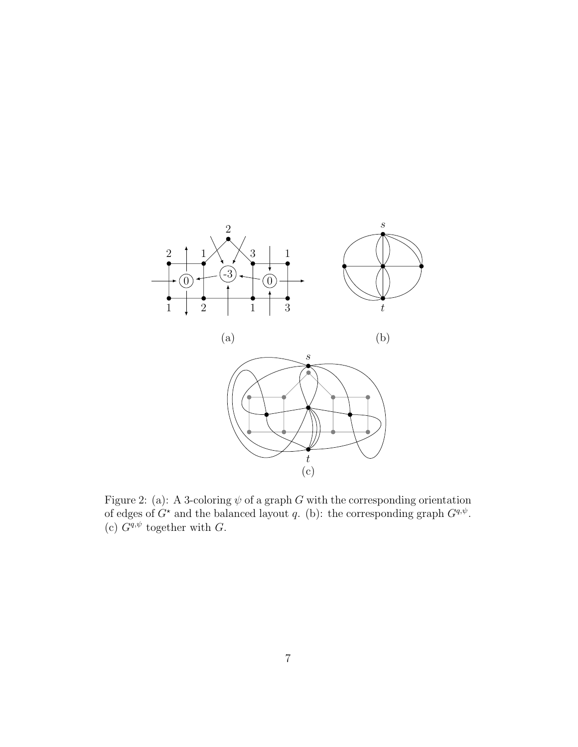

<span id="page-6-0"></span>Figure 2: (a): A 3-coloring  $\psi$  of a graph G with the corresponding orientation of edges of  $G^*$  and the balanced layout q. (b): the corresponding graph  $G^{q,\psi}$ . (c)  $G^{q,\psi}$  together with G.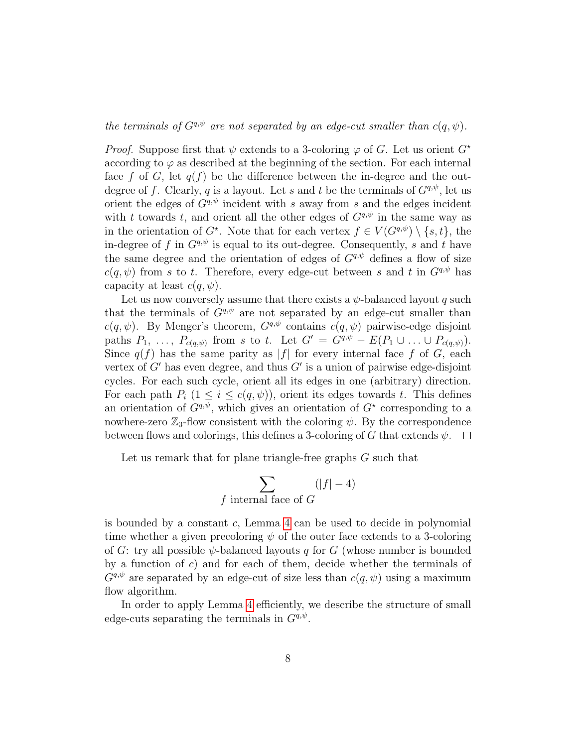the terminals of  $G^{q,\psi}$  are not separated by an edge-cut smaller than  $c(q,\psi)$ .

*Proof.* Suppose first that  $\psi$  extends to a 3-coloring  $\varphi$  of G. Let us orient  $G^*$ according to  $\varphi$  as described at the beginning of the section. For each internal face f of G, let  $q(f)$  be the difference between the in-degree and the outdegree of f. Clearly, q is a layout. Let s and t be the terminals of  $G<sup>q,\psi</sup>$ , let us orient the edges of  $G^{q,\psi}$  incident with s away from s and the edges incident with t towards t, and orient all the other edges of  $G^{q,\psi}$  in the same way as in the orientation of  $G^*$ . Note that for each vertex  $f \in V(G^{q,\psi}) \setminus \{s,t\}$ , the in-degree of f in  $G^{q,\psi}$  is equal to its out-degree. Consequently, s and t have the same degree and the orientation of edges of  $G^{q,\psi}$  defines a flow of size  $c(q, \psi)$  from s to t. Therefore, every edge-cut between s and t in  $G^{q, \psi}$  has capacity at least  $c(q, \psi)$ .

Let us now conversely assume that there exists a  $\psi$ -balanced layout q such that the terminals of  $G^{q,\psi}$  are not separated by an edge-cut smaller than  $c(q, \psi)$ . By Menger's theorem,  $G^{q, \psi}$  contains  $c(q, \psi)$  pairwise-edge disjoint paths  $P_1, \ldots, P_{c(q,\psi)}$  from s to t. Let  $G' = G^{q,\psi} - E(P_1 \cup \ldots \cup P_{c(q,\psi)}).$ Since  $q(f)$  has the same parity as |f| for every internal face f of G, each vertex of  $G'$  has even degree, and thus  $G'$  is a union of pairwise edge-disjoint cycles. For each such cycle, orient all its edges in one (arbitrary) direction. For each path  $P_i$   $(1 \leq i \leq c(q, \psi))$ , orient its edges towards t. This defines an orientation of  $G^{q,\psi}$ , which gives an orientation of  $G^*$  corresponding to a nowhere-zero  $\mathbb{Z}_3$ -flow consistent with the coloring  $\psi$ . By the correspondence between flows and colorings, this defines a 3-coloring of G that extends  $\psi$ .  $\Box$ 

Let us remark that for plane triangle-free graphs G such that

$$
\sum_{f \text{ internal face of } G} (|f| - 4)
$$

is bounded by a constant  $c$ , Lemma  $4$  can be used to decide in polynomial time whether a given precoloring  $\psi$  of the outer face extends to a 3-coloring of G: try all possible  $\psi$ -balanced layouts q for G (whose number is bounded by a function of  $c$ ) and for each of them, decide whether the terminals of  $G^{q,\psi}$  are separated by an edge-cut of size less than  $c(q,\psi)$  using a maximum flow algorithm.

In order to apply Lemma [4](#page-5-0) efficiently, we describe the structure of small edge-cuts separating the terminals in  $G^{q,\psi}$ .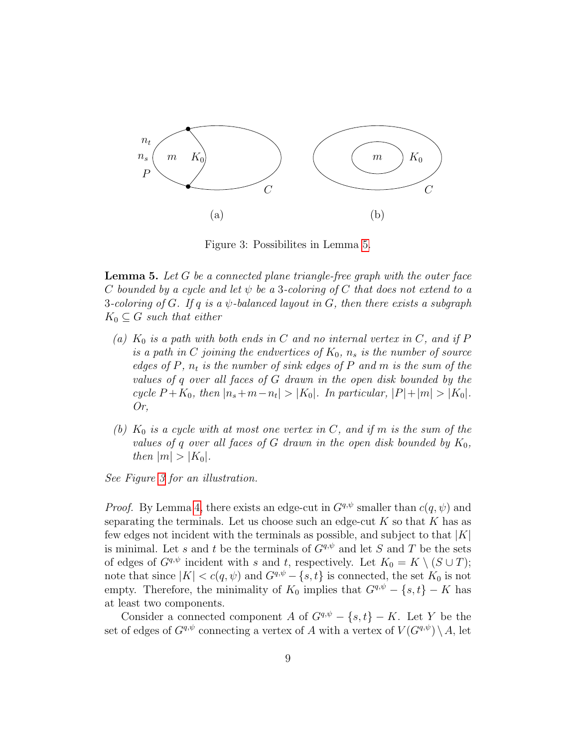

<span id="page-8-1"></span>Figure 3: Possibilites in Lemma [5.](#page-8-0)

<span id="page-8-0"></span>**Lemma 5.** Let  $G$  be a connected plane triangle-free graph with the outer face C bounded by a cycle and let  $\psi$  be a 3-coloring of C that does not extend to a 3-coloring of G. If q is a  $\psi$ -balanced layout in G, then there exists a subgraph  $K_0 \subseteq G$  such that either

- (a)  $K_0$  is a path with both ends in C and no internal vertex in C, and if P is a path in C joining the endvertices of  $K_0$ ,  $n_s$  is the number of source edges of  $P$ ,  $n_t$  is the number of sink edges of  $P$  and  $m$  is the sum of the values of q over all faces of G drawn in the open disk bounded by the cycle  $P + K_0$ , then  $|n_s + m - n_t| > |K_0|$ . In particular,  $|P| + |m| > |K_0|$ . Or,
- (b)  $K_0$  is a cycle with at most one vertex in C, and if m is the sum of the values of q over all faces of G drawn in the open disk bounded by  $K_0$ , then  $|m| > |K_0|$ .

See Figure [3](#page-8-1) for an illustration.

*Proof.* By Lemma [4,](#page-5-0) there exists an edge-cut in  $G^{q,\psi}$  smaller than  $c(q,\psi)$  and separating the terminals. Let us choose such an edge-cut  $K$  so that  $K$  has as few edges not incident with the terminals as possible, and subject to that  $|K|$ is minimal. Let s and t be the terminals of  $G^{q,\psi}$  and let S and T be the sets of edges of  $G^{q,\psi}$  incident with s and t, respectively. Let  $K_0 = K \setminus (S \cup T)$ ; note that since  $|K| < c(q, \psi)$  and  $G^{q, \psi} - \{s, t\}$  is connected, the set  $K_0$  is not empty. Therefore, the minimality of  $K_0$  implies that  $G^{q,\psi} - \{s,t\} - K$  has at least two components.

Consider a connected component A of  $G^{q,\psi} - \{s,t\} - K$ . Let Y be the set of edges of  $G^{q,\psi}$  connecting a vertex of A with a vertex of  $V(G^{q,\psi}) \setminus A$ , let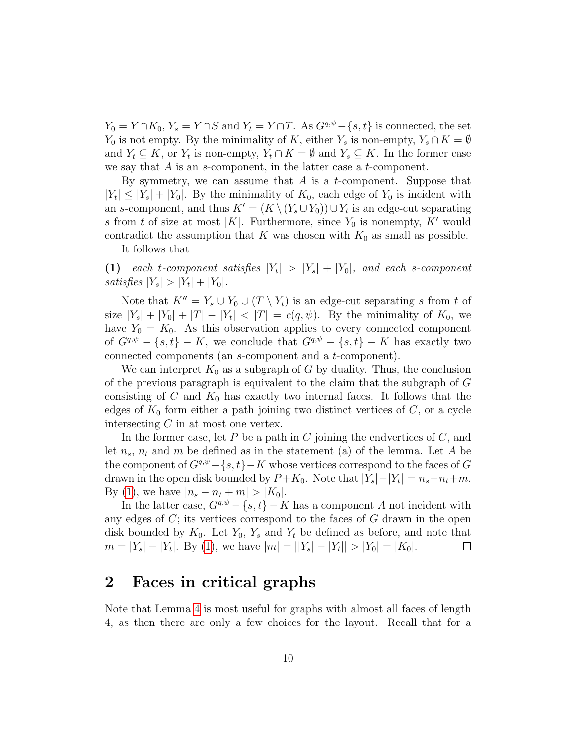$Y_0 = Y \cap K_0, Y_s = Y \cap S$  and  $Y_t = Y \cap T$ . As  $G^{q,\psi} - \{s,t\}$  is connected, the set  $Y_0$  is not empty. By the minimality of K, either  $Y_s$  is non-empty,  $Y_s \cap K = \emptyset$ and  $Y_t \subseteq K$ , or  $Y_t$  is non-empty,  $Y_t \cap K = \emptyset$  and  $Y_s \subseteq K$ . In the former case we say that  $A$  is an  $s$ -component, in the latter case a  $t$ -component.

By symmetry, we can assume that  $A$  is a t-component. Suppose that  $|Y_t| \leq |Y_s| + |Y_0|$ . By the minimality of  $K_0$ , each edge of  $Y_0$  is incident with an s-component, and thus  $K' = (K \setminus (Y_s \cup Y_0)) \cup Y_t$  is an edge-cut separating s from t of size at most |K|. Furthermore, since  $Y_0$  is nonempty, K' would contradict the assumption that K was chosen with  $K_0$  as small as possible.

<span id="page-9-1"></span>It follows that

(1) each t-component satisfies  $|Y_t| > |Y_s| + |Y_0|$ , and each s-component satisfies  $|Y_s| > |Y_t| + |Y_0|$ .

Note that  $K'' = Y_s \cup Y_0 \cup (T \setminus Y_t)$  is an edge-cut separating s from t of size  $|Y_s| + |Y_0| + |T| - |Y_t| < |T| = c(q, \psi)$ . By the minimality of  $K_0$ , we have  $Y_0 = K_0$ . As this observation applies to every connected component of  $G^{q,\psi} - \{s,t\} - K$ , we conclude that  $G^{q,\psi} - \{s,t\} - K$  has exactly two connected components (an s-component and a t-component).

We can interpret  $K_0$  as a subgraph of G by duality. Thus, the conclusion of the previous paragraph is equivalent to the claim that the subgraph of G consisting of C and  $K_0$  has exactly two internal faces. It follows that the edges of  $K_0$  form either a path joining two distinct vertices of  $C$ , or a cycle intersecting  $C$  in at most one vertex.

In the former case, let  $P$  be a path in  $C$  joining the endvertices of  $C$ , and let  $n_s$ ,  $n_t$  and m be defined as in the statement (a) of the lemma. Let A be the component of  $G^{q,\psi} - \{s,t\} - K$  whose vertices correspond to the faces of G drawn in the open disk bounded by  $P + K_0$ . Note that  $|Y_s| - |Y_t| = n_s - n_t + m$ . By [\(1\)](#page-9-1), we have  $|n_s - n_t + m| > |K_0|$ .

In the latter case,  $G^{q,\psi} - \{s,t\} - K$  has a component A not incident with any edges of  $C$ ; its vertices correspond to the faces of  $G$  drawn in the open disk bounded by  $K_0$ . Let  $Y_0$ ,  $Y_s$  and  $Y_t$  be defined as before, and note that  $m = |Y_s| - |Y_t|$ . By [\(1\)](#page-9-1), we have  $|m| = ||Y_s| - |Y_t|| > |Y_0| = |K_0|$ .  $\Box$ 

# <span id="page-9-0"></span>2 Faces in critical graphs

Note that Lemma [4](#page-5-0) is most useful for graphs with almost all faces of length 4, as then there are only a few choices for the layout. Recall that for a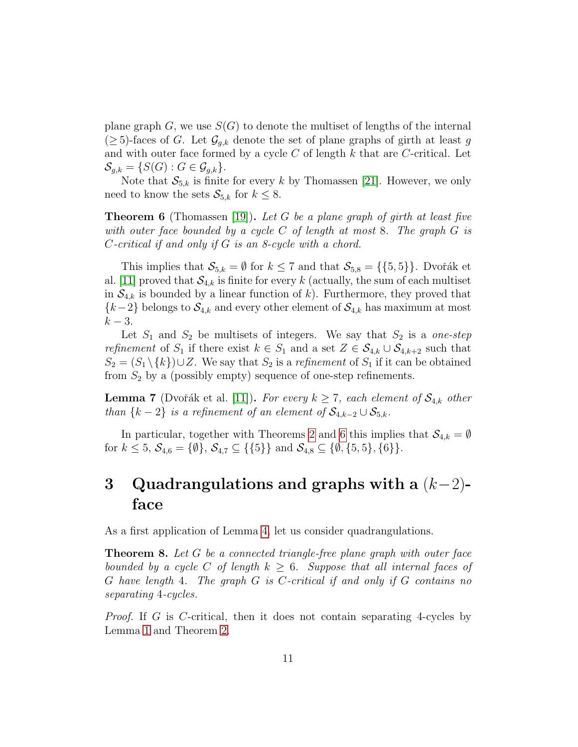plane graph G, we use  $S(G)$  to denote the multiset of lengths of the internal  $(\geq 5)$ -faces of G. Let  $\mathcal{G}_{g,k}$  denote the set of plane graphs of girth at least g and with outer face formed by a cycle  $C$  of length  $k$  that are  $C$ -critical. Let  $S_{q,k} = \{S(G) : G \in \mathcal{G}_{q,k}\}.$ 

Note that  $S_{5,k}$  is finite for every k by Thomassen [\[21\]](#page-19-2). However, we only need to know the sets  $\mathcal{S}_{5,k}$  for  $k \leq 8$ .

<span id="page-10-1"></span>**Theorem 6** (Thomassen [\[19\]](#page-19-5)). Let G be a plane graph of girth at least five with outer face bounded by a cycle C of length at most 8. The graph  $G$  is C-critical if and only if G is an 8-cycle with a chord.

This implies that  $S_{5,k} = \emptyset$  for  $k \leq 7$  and that  $S_{5,8} = \{\{5,5\}\}\.$  Dvořák et al. [\[11\]](#page-18-6) proved that  $S_{4,k}$  is finite for every k (actually, the sum of each multiset in  $\mathcal{S}_{4,k}$  is bounded by a linear function of k). Furthermore, they proved that  ${k-2}$  belongs to  $\mathcal{S}_{4,k}$  and every other element of  $\mathcal{S}_{4,k}$  has maximum at most  $k-3$ .

Let  $S_1$  and  $S_2$  be multisets of integers. We say that  $S_2$  is a one-step refinement of S<sub>1</sub> if there exist  $k \in S_1$  and a set  $Z \in S_{4,k} \cup S_{4,k+2}$  such that  $S_2 = (S_1 \setminus \{k\}) \cup Z$ . We say that  $S_2$  is a refinement of  $S_1$  if it can be obtained from  $S_2$  by a (possibly empty) sequence of one-step refinements.

<span id="page-10-2"></span>**Lemma 7** (Dvořák et al. [\[11\]](#page-18-6)). For every  $k \ge 7$ , each element of  $S_{4,k}$  other than  $\{k-2\}$  is a refinement of an element of  $\mathcal{S}_{4,k-2}\cup \mathcal{S}_{5,k}$ .

In particular, together with Theorems [2](#page-2-0) and [6](#page-10-1) this implies that  $\mathcal{S}_{4,k} = \emptyset$ for  $k \leq 5$ ,  $\mathcal{S}_{4,6} = {\emptyset}$ ,  $\mathcal{S}_{4,7} \subseteq {\{\{5\}\}\}\$ and  $\mathcal{S}_{4,8} \subseteq {\emptyset}, {\{5,5\},\{6\}\}.$ 

# <span id="page-10-0"></span>3 Quadrangulations and graphs with a  $(k-2)$ face

As a first application of Lemma [4,](#page-5-0) let us consider quadrangulations.

<span id="page-10-3"></span>Theorem 8. Let G be a connected triangle-free plane graph with outer face bounded by a cycle C of length  $k \geq 6$ . Suppose that all internal faces of G have length 4. The graph G is C-critical if and only if G contains no separating 4-cycles.

Proof. If G is C-critical, then it does not contain separating 4-cycles by Lemma [1](#page-1-0) and Theorem [2.](#page-2-0)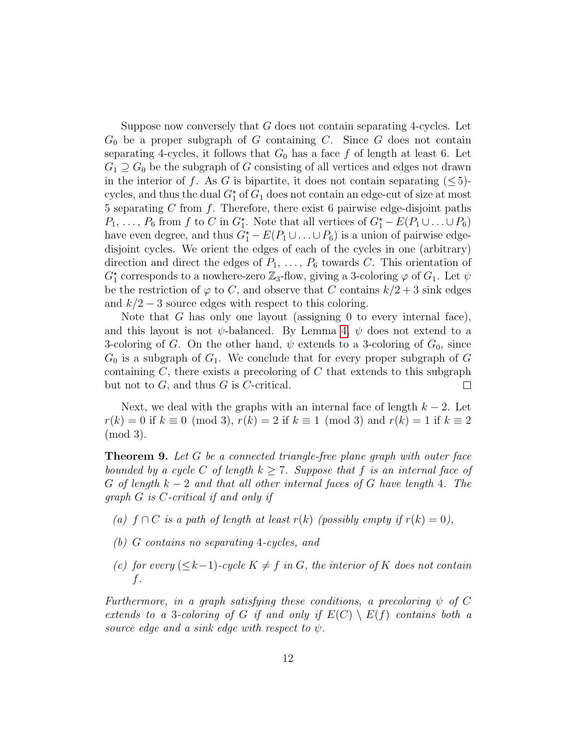Suppose now conversely that G does not contain separating 4-cycles. Let  $G_0$  be a proper subgraph of G containing C. Since G does not contain separating 4-cycles, it follows that  $G_0$  has a face f of length at least 6. Let  $G_1 \supseteq G_0$  be the subgraph of G consisting of all vertices and edges not drawn in the interior of f. As G is bipartite, it does not contain separating  $(\leq 5)$ cycles, and thus the dual  $G_1^{\star}$  of  $G_1$  does not contain an edge-cut of size at most 5 separating  $C$  from  $f$ . Therefore, there exist 6 pairwise edge-disjoint paths  $P_1, \ldots, P_6$  from f to C in  $G_1^*$ . Note that all vertices of  $G_1^* - E(P_1 \cup \ldots \cup P_6)$ have even degree, and thus  $G_1^{\star} - E(P_1 \cup ... \cup P_6)$  is a union of pairwise edgedisjoint cycles. We orient the edges of each of the cycles in one (arbitrary) direction and direct the edges of  $P_1, \ldots, P_6$  towards C. This orientation of  $G_1^{\star}$  corresponds to a nowhere-zero  $\mathbb{Z}_3$ -flow, giving a 3-coloring  $\varphi$  of  $G_1$ . Let  $\psi$ be the restriction of  $\varphi$  to C, and observe that C contains  $k/2 + 3$  sink edges and  $k/2-3$  source edges with respect to this coloring.

Note that G has only one layout (assigning 0 to every internal face), and this layout is not  $\psi$ -balanced. By Lemma [4,](#page-5-0)  $\psi$  does not extend to a 3-coloring of G. On the other hand,  $\psi$  extends to a 3-coloring of  $G_0$ , since  $G_0$  is a subgraph of  $G_1$ . We conclude that for every proper subgraph of G containing  $C$ , there exists a precoloring of  $C$  that extends to this subgraph but not to  $G$ , and thus  $G$  is  $C$ -critical.  $\Box$ 

Next, we deal with the graphs with an internal face of length  $k - 2$ . Let  $r(k) = 0$  if  $k \equiv 0 \pmod{3}$ ,  $r(k) = 2$  if  $k \equiv 1 \pmod{3}$  and  $r(k) = 1$  if  $k \equiv 2$ (mod 3).

<span id="page-11-0"></span>**Theorem 9.** Let  $G$  be a connected triangle-free plane graph with outer face bounded by a cycle C of length  $k \geq 7$ . Suppose that f is an internal face of G of length  $k-2$  and that all other internal faces of G have length 4. The graph G is C-critical if and only if

- (a)  $f \cap C$  is a path of length at least  $r(k)$  (possibly empty if  $r(k) = 0$ ),
- (b) G contains no separating 4-cycles, and
- (c) for every  $(\leq k-1)$ -cycle  $K \neq f$  in G, the interior of K does not contain f.

Furthermore, in a graph satisfying these conditions, a precoloring  $\psi$  of C extends to a 3-coloring of G if and only if  $E(C) \setminus E(f)$  contains both a source edge and a sink edge with respect to  $\psi$ .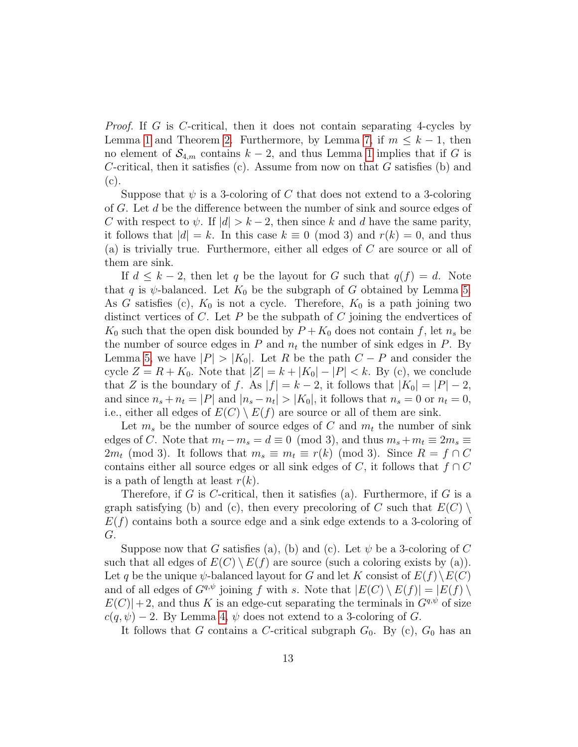Proof. If G is C-critical, then it does not contain separating 4-cycles by Lemma [1](#page-1-0) and Theorem [2.](#page-2-0) Furthermore, by Lemma [7,](#page-10-2) if  $m \leq k-1$ , then no element of  $S_{4,m}$  contains  $k-2$ , and thus Lemma [1](#page-1-0) implies that if G is C-critical, then it satisfies (c). Assume from now on that  $G$  satisfies (b) and (c).

Suppose that  $\psi$  is a 3-coloring of C that does not extend to a 3-coloring of G. Let d be the difference between the number of sink and source edges of C with respect to  $\psi$ . If  $|d| > k - 2$ , then since k and d have the same parity, it follows that  $|d| = k$ . In this case  $k \equiv 0 \pmod{3}$  and  $r(k) = 0$ , and thus (a) is trivially true. Furthermore, either all edges of C are source or all of them are sink.

If  $d \leq k-2$ , then let q be the layout for G such that  $q(f) = d$ . Note that q is  $\psi$ -balanced. Let  $K_0$  be the subgraph of G obtained by Lemma [5.](#page-8-0) As G satisfies (c),  $K_0$  is not a cycle. Therefore,  $K_0$  is a path joining two distinct vertices of C. Let P be the subpath of C joining the endvertices of  $K_0$  such that the open disk bounded by  $P + K_0$  does not contain f, let  $n_s$  be the number of source edges in  $P$  and  $n_t$  the number of sink edges in  $P$ . By Lemma [5,](#page-8-0) we have  $|P| > |K_0|$ . Let R be the path  $C - P$  and consider the cycle  $Z = R + K_0$ . Note that  $|Z| = k + |K_0| - |P| < k$ . By (c), we conclude that Z is the boundary of f. As  $|f| = k - 2$ , it follows that  $|K_0| = |P| - 2$ , and since  $n_s + n_t = |P|$  and  $|n_s - n_t| > |K_0|$ , it follows that  $n_s = 0$  or  $n_t = 0$ , i.e., either all edges of  $E(C) \setminus E(f)$  are source or all of them are sink.

Let  $m_s$  be the number of source edges of C and  $m_t$  the number of sink edges of C. Note that  $m_t - m_s = d \equiv 0 \pmod{3}$ , and thus  $m_s + m_t \equiv 2m_s \equiv$  $2m_t \pmod{3}$ . It follows that  $m_s \equiv m_t \equiv r(k) \pmod{3}$ . Since  $R = f \cap C$ contains either all source edges or all sink edges of C, it follows that  $f \cap C$ is a path of length at least  $r(k)$ .

Therefore, if G is C-critical, then it satisfies (a). Furthermore, if G is a graph satisfying (b) and (c), then every precoloring of C such that  $E(C)$  $E(f)$  contains both a source edge and a sink edge extends to a 3-coloring of G.

Suppose now that G satisfies (a), (b) and (c). Let  $\psi$  be a 3-coloring of C such that all edges of  $E(C) \setminus E(f)$  are source (such a coloring exists by (a)). Let q be the unique  $\psi$ -balanced layout for G and let K consist of  $E(f) \setminus E(C)$ and of all edges of  $G^{q,\psi}$  joining f with s. Note that  $|E(C) \setminus E(f)| = |E(f) \setminus E(f)|$  $E(C)|+2$ , and thus K is an edge-cut separating the terminals in  $G<sup>q,\psi</sup>$  of size  $c(q, \psi) - 2$ . By Lemma [4,](#page-5-0)  $\psi$  does not extend to a 3-coloring of G.

It follows that G contains a C-critical subgraph  $G_0$ . By (c),  $G_0$  has an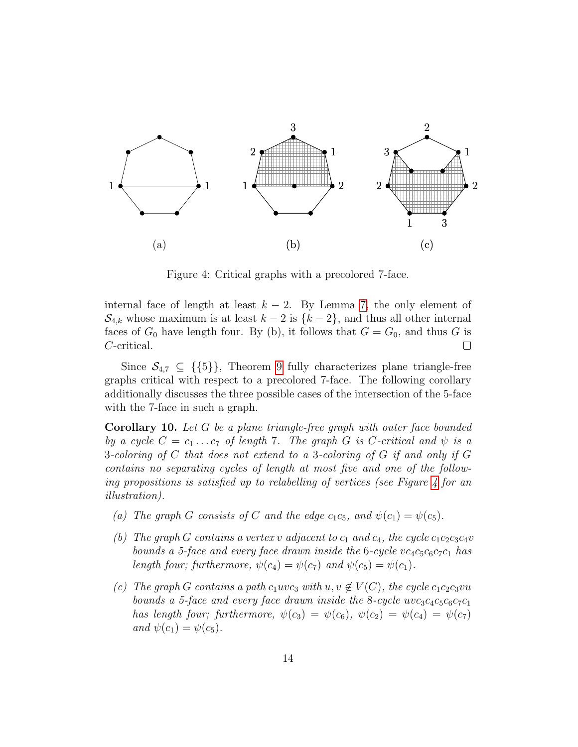

<span id="page-13-1"></span>Figure 4: Critical graphs with a precolored 7-face.

internal face of length at least  $k - 2$ . By Lemma [7,](#page-10-2) the only element of  $\mathcal{S}_{4,k}$  whose maximum is at least  $k-2$  is  $\{k-2\}$ , and thus all other internal faces of  $G_0$  have length four. By (b), it follows that  $G = G_0$ , and thus G is C-critical.  $\Box$ 

Since  $\mathcal{S}_{4,7} \subseteq \{ \{5\} \},\$  Theorem [9](#page-11-0) fully characterizes plane triangle-free graphs critical with respect to a precolored 7-face. The following corollary additionally discusses the three possible cases of the intersection of the 5-face with the 7-face in such a graph.

<span id="page-13-0"></span>Corollary 10. Let G be a plane triangle-free graph with outer face bounded by a cycle  $C = c_1 \ldots c_7$  of length 7. The graph G is C-critical and  $\psi$  is a 3-coloring of C that does not extend to a 3-coloring of G if and only if G contains no separating cycles of length at most five and one of the following propositions is satisfied up to relabelling of vertices (see Figure  $\lambda$  for an illustration).

- (a) The graph G consists of C and the edge  $c_1c_5$ , and  $\psi(c_1) = \psi(c_5)$ .
- (b) The graph G contains a vertex v adjacent to  $c_1$  and  $c_4$ , the cycle  $c_1c_2c_3c_4v$ bounds a 5-face and every face drawn inside the 6-cycle  $vc_4c_5c_6c_7c_1$  has length four; furthermore,  $\psi(c_4) = \psi(c_7)$  and  $\psi(c_5) = \psi(c_1)$ .
- (c) The graph G contains a path  $c_1uvc_3$  with  $u, v \notin V(C)$ , the cycle  $c_1c_2c_3vu$ bounds a 5-face and every face drawn inside the 8-cycle  $wc_3c_4c_5c_6c_7c_1$ has length four; furthermore,  $\psi(c_3) = \psi(c_6)$ ,  $\psi(c_2) = \psi(c_4) = \psi(c_7)$ and  $\psi(c_1) = \psi(c_5)$ .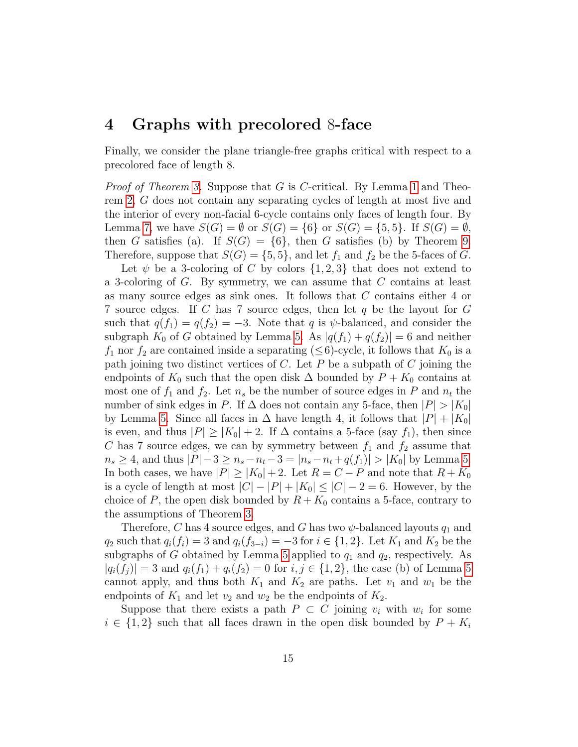### <span id="page-14-0"></span>4 Graphs with precolored 8-face

Finally, we consider the plane triangle-free graphs critical with respect to a precolored face of length 8.

*Proof of Theorem [3.](#page-3-1)* Suppose that  $G$  is  $C$ -critical. By Lemma [1](#page-1-0) and Theorem [2,](#page-2-0) G does not contain any separating cycles of length at most five and the interior of every non-facial 6-cycle contains only faces of length four. By Lemma [7,](#page-10-2) we have  $S(G) = \emptyset$  or  $S(G) = \{6\}$  or  $S(G) = \{5, 5\}$ . If  $S(G) = \emptyset$ , then G satisfies (a). If  $S(G) = \{6\}$ , then G satisfies (b) by Theorem [9.](#page-11-0) Therefore, suppose that  $S(G) = \{5, 5\}$ , and let  $f_1$  and  $f_2$  be the 5-faces of G.

Let  $\psi$  be a 3-coloring of C by colors  $\{1,2,3\}$  that does not extend to a 3-coloring of G. By symmetry, we can assume that C contains at least as many source edges as sink ones. It follows that C contains either 4 or 7 source edges. If C has 7 source edges, then let q be the layout for G such that  $q(f_1) = q(f_2) = -3$ . Note that q is  $\psi$ -balanced, and consider the subgraph  $K_0$  of G obtained by Lemma [5.](#page-8-0) As  $|q(f_1) + q(f_2)| = 6$  and neither  $f_1$  nor  $f_2$  are contained inside a separating ( $\leq 6$ )-cycle, it follows that  $K_0$  is a path joining two distinct vertices of  $C$ . Let  $P$  be a subpath of  $C$  joining the endpoints of  $K_0$  such that the open disk  $\Delta$  bounded by  $P + K_0$  contains at most one of  $f_1$  and  $f_2$ . Let  $n_s$  be the number of source edges in P and  $n_t$  the number of sink edges in P. If  $\Delta$  does not contain any 5-face, then  $|P| > |K_0|$ by Lemma [5.](#page-8-0) Since all faces in  $\Delta$  have length 4, it follows that  $|P| + |K_0|$ is even, and thus  $|P| \ge |K_0| + 2$ . If  $\Delta$  contains a 5-face (say  $f_1$ ), then since C has 7 source edges, we can by symmetry between  $f_1$  and  $f_2$  assume that  $n_s \geq 4$ , and thus  $|P|-3 \geq n_s - n_t - 3 = |n_s - n_t + q(f_1)| > |K_0|$  by Lemma [5.](#page-8-0) In both cases, we have  $|P| \ge |K_0| + 2$ . Let  $R = C - P$  and note that  $R + K_0$ is a cycle of length at most  $|C| - |P| + |K_0| \leq |C| - 2 = 6$ . However, by the choice of P, the open disk bounded by  $R + K_0$  contains a 5-face, contrary to the assumptions of Theorem [3.](#page-3-1)

Therefore, C has 4 source edges, and G has two  $\psi$ -balanced layouts  $q_1$  and  $q_2$  such that  $q_i(f_i) = 3$  and  $q_i(f_{3-i}) = -3$  for  $i \in \{1,2\}$ . Let  $K_1$  and  $K_2$  be the subgraphs of G obtained by Lemma [5](#page-8-0) applied to  $q_1$  and  $q_2$ , respectively. As  $|q_i(f_i)| = 3$  and  $q_i(f_1) + q_i(f_2) = 0$  for  $i, j \in \{1, 2\}$ , the case (b) of Lemma [5](#page-8-0) cannot apply, and thus both  $K_1$  and  $K_2$  are paths. Let  $v_1$  and  $w_1$  be the endpoints of  $K_1$  and let  $v_2$  and  $w_2$  be the endpoints of  $K_2$ .

Suppose that there exists a path  $P \subset C$  joining  $v_i$  with  $w_i$  for some  $i \in \{1,2\}$  such that all faces drawn in the open disk bounded by  $P + K_i$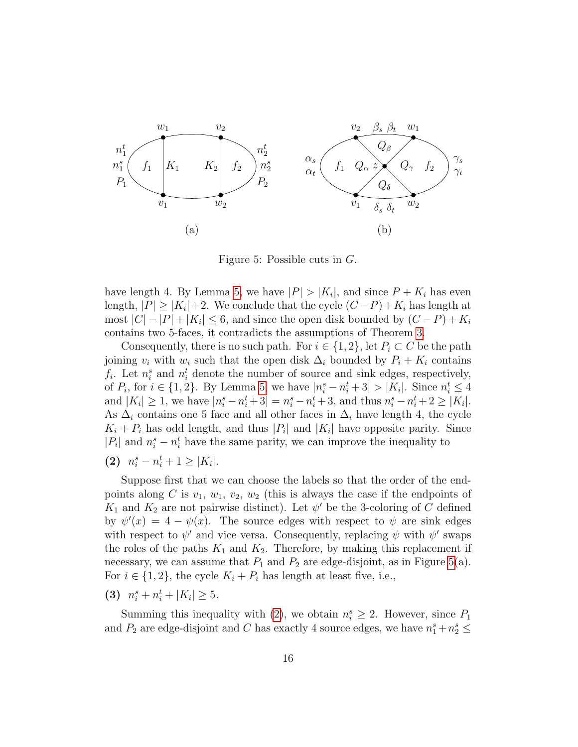

<span id="page-15-1"></span><span id="page-15-0"></span>Figure 5: Possible cuts in G.

have length 4. By Lemma [5,](#page-8-0) we have  $|P| > |K_i|$ , and since  $P + K_i$  has even length,  $|P| \ge |K_i| + 2$ . We conclude that the cycle  $(C - P) + K_i$  has length at most  $|C| - |P| + |K_i| \leq 6$ , and since the open disk bounded by  $(C - P) + K_i$ contains two 5-faces, it contradicts the assumptions of Theorem [3.](#page-3-1)

Consequently, there is no such path. For  $i \in \{1,2\}$ , let  $P_i \subset C$  be the path joining  $v_i$  with  $w_i$  such that the open disk  $\Delta_i$  bounded by  $P_i + K_i$  contains  $f_i$ . Let  $n_i^s$  and  $n_i^t$  denote the number of source and sink edges, respectively, of  $P_i$ , for  $i \in \{1,2\}$ . By Lemma [5,](#page-8-0) we have  $|n_i^s - n_i^t + 3| > |K_i|$ . Since  $n_i^t \leq 4$ and  $|K_i| \geq 1$ , we have  $|n_i^s - n_i^t + 3| = n_i^s - n_i^t + 3$ , and thus  $n_i^s - n_i^t + 2 \geq |K_i|$ . As  $\Delta_i$  contains one 5 face and all other faces in  $\Delta_i$  have length 4, the cycle  $K_i + P_i$  has odd length, and thus  $|P_i|$  and  $|K_i|$  have opposite parity. Since  $|P_i|$  and  $n_i^s - n_i^t$  have the same parity, we can improve the inequality to

(2)  $n_i^s - n_i^t + 1 \ge |K_i|$ .

Suppose first that we can choose the labels so that the order of the endpoints along C is  $v_1, w_1, v_2, w_2$  (this is always the case if the endpoints of  $K_1$  and  $K_2$  are not pairwise distinct). Let  $\psi'$  be the 3-coloring of C defined by  $\psi'(x) = 4 - \psi(x)$ . The source edges with respect to  $\psi$  are sink edges with respect to  $\psi'$  and vice versa. Consequently, replacing  $\psi$  with  $\psi'$  swaps the roles of the paths  $K_1$  and  $K_2$ . Therefore, by making this replacement if necessary, we can assume that  $P_1$  and  $P_2$  are edge-disjoint, as in Figure [5\(](#page-15-0)a). For  $i \in \{1, 2\}$ , the cycle  $K_i + P_i$  has length at least five, i.e.,

<span id="page-15-2"></span>(3)  $n_i^s + n_i^t + |K_i| \geq 5$ .

Summing this inequality with [\(2\)](#page-15-1), we obtain  $n_i^s \geq 2$ . However, since  $P_1$ and  $P_2$  are edge-disjoint and C has exactly 4 source edges, we have  $n_1^s + n_2^s \leq$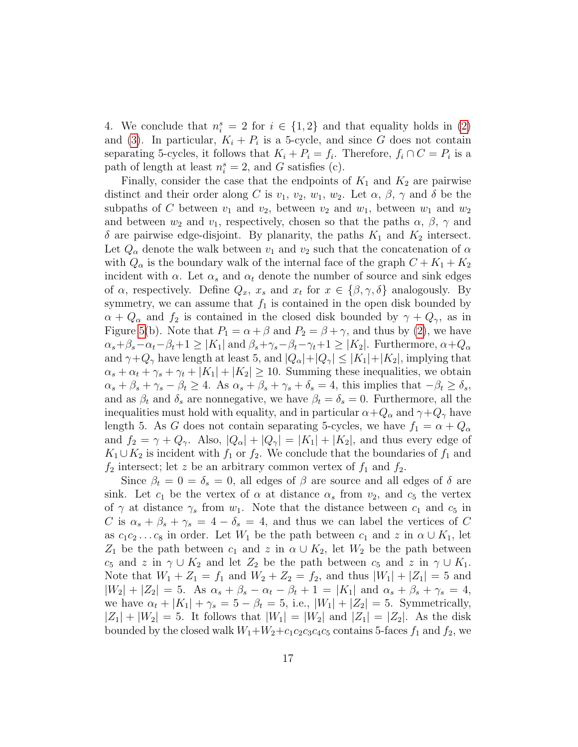4. We conclude that  $n_i^s = 2$  for  $i \in \{1,2\}$  and that equality holds in [\(2\)](#page-15-1) and [\(3\)](#page-15-2). In particular,  $K_i + P_i$  is a 5-cycle, and since G does not contain separating 5-cycles, it follows that  $K_i + P_i = f_i$ . Therefore,  $f_i \cap C = P_i$  is a path of length at least  $n_i^s = 2$ , and G satisfies (c).

Finally, consider the case that the endpoints of  $K_1$  and  $K_2$  are pairwise distinct and their order along C is  $v_1, v_2, w_1, w_2$ . Let  $\alpha, \beta, \gamma$  and  $\delta$  be the subpaths of C between  $v_1$  and  $v_2$ , between  $v_2$  and  $w_1$ , between  $w_1$  and  $w_2$ and between  $w_2$  and  $v_1$ , respectively, chosen so that the paths  $\alpha$ ,  $\beta$ ,  $\gamma$  and  $\delta$  are pairwise edge-disjoint. By planarity, the paths  $K_1$  and  $K_2$  intersect. Let  $Q_{\alpha}$  denote the walk between  $v_1$  and  $v_2$  such that the concatenation of  $\alpha$ with  $Q_{\alpha}$  is the boundary walk of the internal face of the graph  $C + K_1 + K_2$ incident with  $\alpha$ . Let  $\alpha_s$  and  $\alpha_t$  denote the number of source and sink edges of  $\alpha$ , respectively. Define  $Q_x$ ,  $x_s$  and  $x_t$  for  $x \in \{\beta, \gamma, \delta\}$  analogously. By symmetry, we can assume that  $f_1$  is contained in the open disk bounded by  $\alpha + Q_{\alpha}$  and  $f_2$  is contained in the closed disk bounded by  $\gamma + Q_{\gamma}$ , as in Figure [5\(](#page-15-0)b). Note that  $P_1 = \alpha + \beta$  and  $P_2 = \beta + \gamma$ , and thus by [\(2\)](#page-15-1), we have  $\alpha_s+\beta_s-\alpha_t-\beta_t+1\geq |K_1|$  and  $\beta_s+\gamma_s-\beta_t-\gamma_t+1\geq |K_2|$ . Furthermore,  $\alpha+Q_\alpha$ and  $\gamma + Q_{\gamma}$  have length at least 5, and  $|Q_{\alpha}| + |Q_{\gamma}| \leq |K_1| + |K_2|$ , implying that  $\alpha_s + \alpha_t + \gamma_s + \gamma_t + |K_1| + |K_2| \ge 10$ . Summing these inequalities, we obtain  $\alpha_s + \beta_s + \gamma_s - \beta_t \geq 4$ . As  $\alpha_s + \beta_s + \gamma_s + \delta_s = 4$ , this implies that  $-\beta_t \geq \delta_s$ , and as  $\beta_t$  and  $\delta_s$  are nonnegative, we have  $\beta_t = \delta_s = 0$ . Furthermore, all the inequalities must hold with equality, and in particular  $\alpha+Q_\alpha$  and  $\gamma+Q_\gamma$  have length 5. As G does not contain separating 5-cycles, we have  $f_1 = \alpha + Q_{\alpha}$ and  $f_2 = \gamma + Q_{\gamma}$ . Also,  $|Q_{\alpha}| + |Q_{\gamma}| = |K_1| + |K_2|$ , and thus every edge of  $K_1 \cup K_2$  is incident with  $f_1$  or  $f_2$ . We conclude that the boundaries of  $f_1$  and  $f_2$  intersect; let z be an arbitrary common vertex of  $f_1$  and  $f_2$ .

Since  $\beta_t = 0 = \delta_s = 0$ , all edges of  $\beta$  are source and all edges of  $\delta$  are sink. Let  $c_1$  be the vertex of  $\alpha$  at distance  $\alpha_s$  from  $v_2$ , and  $c_5$  the vertex of  $\gamma$  at distance  $\gamma_s$  from  $w_1$ . Note that the distance between  $c_1$  and  $c_5$  in C is  $\alpha_s + \beta_s + \gamma_s = 4 - \delta_s = 4$ , and thus we can label the vertices of C as  $c_1c_2 \ldots c_8$  in order. Let  $W_1$  be the path between  $c_1$  and  $z$  in  $\alpha \cup K_1$ , let  $Z_1$  be the path between  $c_1$  and  $z$  in  $\alpha \cup K_2$ , let  $W_2$  be the path between  $c_5$  and  $z$  in  $\gamma \cup K_2$  and let  $Z_2$  be the path between  $c_5$  and  $z$  in  $\gamma \cup K_1$ . Note that  $W_1 + Z_1 = f_1$  and  $W_2 + Z_2 = f_2$ , and thus  $|W_1| + |Z_1| = 5$  and  $|W_2| + |Z_2| = 5$ . As  $\alpha_s + \beta_s - \alpha_t - \beta_t + 1 = |K_1|$  and  $\alpha_s + \beta_s + \gamma_s = 4$ , we have  $\alpha_t + |K_1| + \gamma_s = 5 - \beta_t = 5$ , i.e.,  $|W_1| + |Z_2| = 5$ . Symmetrically,  $|Z_1| + |W_2| = 5$ . It follows that  $|W_1| = |W_2|$  and  $|Z_1| = |Z_2|$ . As the disk bounded by the closed walk  $W_1+W_2+c_1c_2c_3c_4c_5$  contains 5-faces  $f_1$  and  $f_2$ , we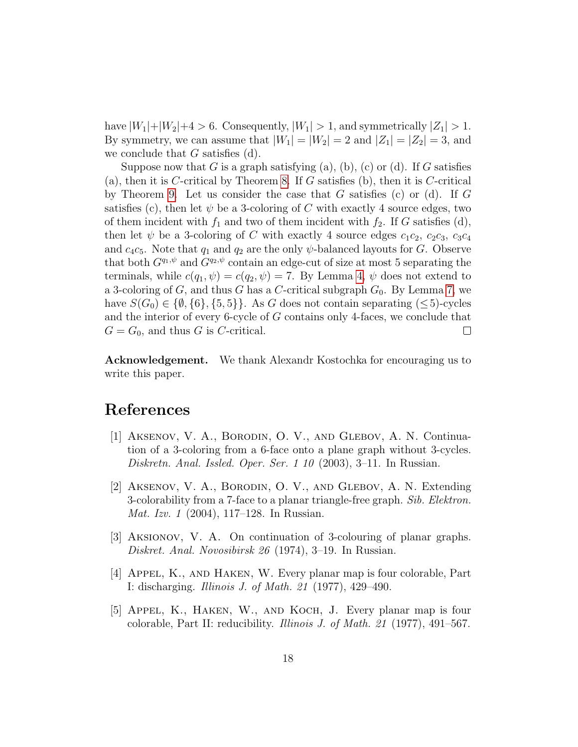have  $|W_1|+|W_2|+4>6$ . Consequently,  $|W_1|>1$ , and symmetrically  $|Z_1|>1$ . By symmetry, we can assume that  $|W_1| = |W_2| = 2$  and  $|Z_1| = |Z_2| = 3$ , and we conclude that  $G$  satisfies  $(d)$ .

Suppose now that G is a graph satisfying (a), (b), (c) or (d). If G satisfies (a), then it is C-critical by Theorem [8.](#page-10-3) If G satisfies (b), then it is C-critical by Theorem [9.](#page-11-0) Let us consider the case that  $G$  satisfies (c) or (d). If  $G$ satisfies (c), then let  $\psi$  be a 3-coloring of C with exactly 4 source edges, two of them incident with  $f_1$  and two of them incident with  $f_2$ . If G satisfies (d), then let  $\psi$  be a 3-coloring of C with exactly 4 source edges  $c_1c_2$ ,  $c_2c_3$ ,  $c_3c_4$ and  $c_4c_5$ . Note that  $q_1$  and  $q_2$  are the only  $\psi$ -balanced layouts for G. Observe that both  $G^{q_1,\psi}$  and  $G^{q_2,\psi}$  contain an edge-cut of size at most 5 separating the terminals, while  $c(q_1, \psi) = c(q_2, \psi) = 7$ . By Lemma [4,](#page-5-0)  $\psi$  does not extend to a 3-coloring of  $G$ , and thus  $G$  has a  $C$ -critical subgraph  $G_0$ . By Lemma [7,](#page-10-2) we have  $S(G_0) \in \{\emptyset, \{6\}, \{5, 5\}\}\.$  As G does not contain separating  $(\leq 5)$ -cycles and the interior of every 6-cycle of G contains only 4-faces, we conclude that  $G = G_0$ , and thus G is C-critical.  $\Box$ 

Acknowledgement. We thank Alexandr Kostochka for encouraging us to write this paper.

## References

- <span id="page-17-3"></span>[1] Aksenov, V. A., Borodin, O. V., and Glebov, A. N. Continuation of a 3-coloring from a 6-face onto a plane graph without 3-cycles. Diskretn. Anal. Issled. Oper. Ser. 1 10 (2003), 3–11. In Russian.
- <span id="page-17-4"></span>[2] Aksenov, V. A., Borodin, O. V., and Glebov, A. N. Extending 3-colorability from a 7-face to a planar triangle-free graph. Sib. Elektron. Mat. Izv. 1 (2004), 117–128. In Russian.
- <span id="page-17-2"></span>[3] Aksionov, V. A. On continuation of 3-colouring of planar graphs. Diskret. Anal. Novosibirsk 26 (1974), 3–19. In Russian.
- <span id="page-17-0"></span>[4] Appel, K., and Haken, W. Every planar map is four colorable, Part I: discharging. Illinois J. of Math. 21 (1977), 429–490.
- <span id="page-17-1"></span>[5] Appel, K., Haken, W., and Koch, J. Every planar map is four colorable, Part II: reducibility. Illinois J. of Math. 21 (1977), 491–567.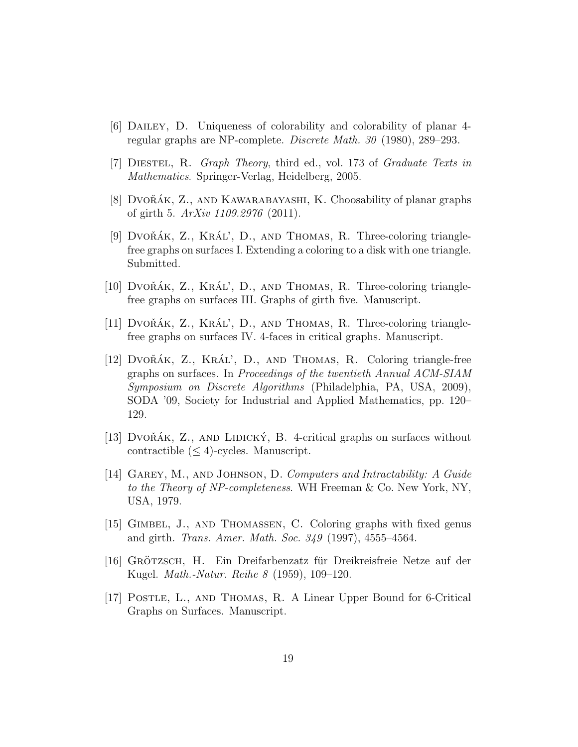- <span id="page-18-1"></span>[6] Dailey, D. Uniqueness of colorability and colorability of planar 4 regular graphs are NP-complete. Discrete Math. 30 (1980), 289–293.
- <span id="page-18-11"></span>[7] Diestel, R. Graph Theory, third ed., vol. 173 of Graduate Texts in Mathematics. Springer-Verlag, Heidelberg, 2005.
- <span id="page-18-9"></span>[8] DVO $\check{A}K$ , Z., AND KAWARABAYASHI, K. Choosability of planar graphs of girth 5. ArXiv 1109.2976 (2011).
- <span id="page-18-8"></span>[9] Dvo $\tilde{A}K$ , Z.,  $KR\tilde{A}L'$ , D., and Thomas, R. Three-coloring trianglefree graphs on surfaces I. Extending a coloring to a disk with one triangle. Submitted.
- <span id="page-18-5"></span>[10] DVOŘÁK,  $Z_{\cdot}$ , KRÁL', D., AND THOMAS, R. Three-coloring trianglefree graphs on surfaces III. Graphs of girth five. Manuscript.
- <span id="page-18-6"></span>[11] DVOŘÁK,  $Z_{\cdot}$ , KRÁL', D., AND THOMAS, R. Three-coloring trianglefree graphs on surfaces IV. 4-faces in critical graphs. Manuscript.
- <span id="page-18-7"></span> $[12]$  Dvo $\tilde{R}$ ÁK, Z., KRÁL', D., AND THOMAS, R. Coloring triangle-free graphs on surfaces. In Proceedings of the twentieth Annual ACM-SIAM Symposium on Discrete Algorithms (Philadelphia, PA, USA, 2009), SODA '09, Society for Industrial and Applied Mathematics, pp. 120– 129.
- <span id="page-18-10"></span>[13] DVOŘÁK, Z., AND LIDICKÝ, B. 4-critical graphs on surfaces without contractible  $(\leq 4)$ -cycles. Manuscript.
- <span id="page-18-0"></span>[14] Garey, M., and Johnson, D. Computers and Intractability: A Guide to the Theory of NP-completeness. WH Freeman & Co. New York, NY, USA, 1979.
- <span id="page-18-3"></span>[15] GIMBEL, J., AND THOMASSEN, C. Coloring graphs with fixed genus and girth. Trans. Amer. Math. Soc. 349 (1997), 4555–4564.
- <span id="page-18-2"></span>[16] GRÖTZSCH, H. Ein Dreifarbenzatz für Dreikreisfreie Netze auf der Kugel. Math.-Natur. Reihe 8 (1959), 109–120.
- <span id="page-18-4"></span>[17] Postle, L., and Thomas, R. A Linear Upper Bound for 6-Critical Graphs on Surfaces. Manuscript.